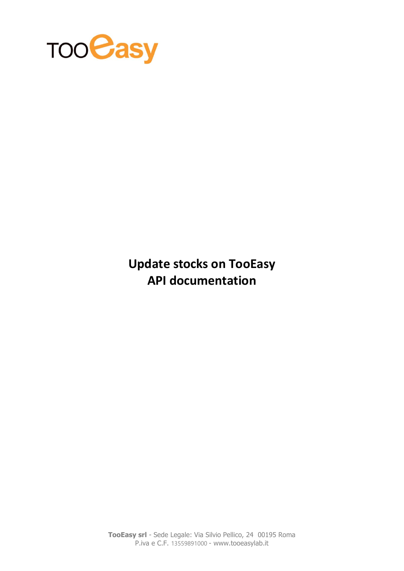

**Update stocks on TooEasy API documentation**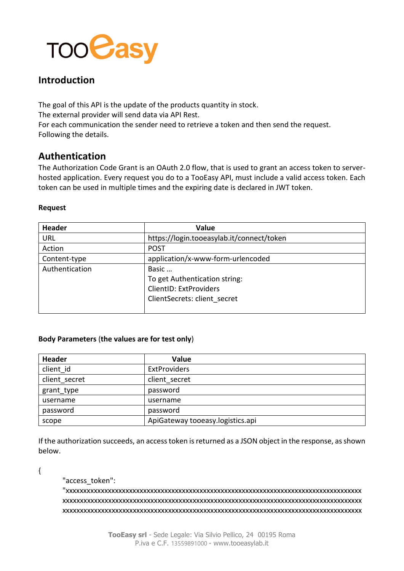

# **Introduction**

The goal of this API is the update of the products quantity in stock. The external provider will send data via API Rest. For each communication the sender need to retrieve a token and then send the request. Following the details.

## **Authentication**

The Authorization Code Grant is an OAuth 2.0 flow, that is used to grant an access token to serverhosted application. Every request you do to a TooEasy API, must include a valid access token. Each token can be used in multiple times and the expiring date is declared in JWT token.

## **Request**

| <b>Header</b>  | Value                                     |
|----------------|-------------------------------------------|
| URL            | https://login.tooeasylab.it/connect/token |
| Action         | <b>POST</b>                               |
| Content-type   | application/x-www-form-urlencoded         |
| Authentication | Basic                                     |
|                | To get Authentication string:             |
|                | ClientID: ExtProviders                    |
|                | ClientSecrets: client secret              |
|                |                                           |

## **Body Parameters** (**the values are for test only**)

| <b>Header</b> | Value                            |
|---------------|----------------------------------|
| client id     | <b>ExtProviders</b>              |
| client secret | client secret                    |
| grant_type    | password                         |
| username      | username                         |
| password      | password                         |
| scope         | ApiGateway tooeasy.logistics.api |

If the authorization succeeds, an access token is returned as a JSON object in the response, as shown below.

{

## "access\_token":

"xxxxxxxxxxxxxxxxxxxxxxxxxxxxxxxxxxxxxxxxxxxxxxxxxxxxxxxxxxxxxxxxxxxxxxxxxxxxxxxxxxxx xxxxxxxxxxxxxxxxxxxxxxxxxxxxxxxxxxxxxxxxxxxxxxxxxxxxxxxxxxxxxxxxxxxxxxxxxxxxxxxxxxxxx xxxxxxxxxxxxxxxxxxxxxxxxxxxxxxxxxxxxxxxxxxxxxxxxxxxxxxxxxxxxxxxxxxxxxxxxxxxxxxxxxxxxx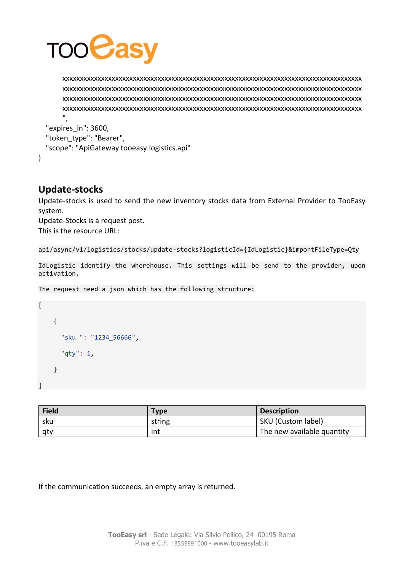

xxxxxxxxxxxxxxxxxxxxxxxxxxxxxxxxxxxxxxxxxxxxxxxxxxxxxxxxxxxxxxxxxxxxxxxxxxxxxxxxxxxxx xxxxxxxxxxxxxxxxxxxxxxxxxxxxxxxxxxxxxxxxxxxxxxxxxxxxxxxxxxxxxxxxxxxxxxxxxxxxxxxxxxxxx xxxxxxxxxxxxxxxxxxxxxxxxxxxxxxxxxxxxxxxxxxxxxxxxxxxxxxxxxxxxxxxxxxxxxxxxxxxxxxxxxxxxx xxxxxxxxxxxxxxxxxxxxxxxxxxxxxxxxxxxxxxxxxxxxxxxxxxxxxxxxxxxxxxxxxxxxxxxxxxxxxxxxxxxxx ",

 "expires\_in": 3600, "token\_type": "Bearer", "scope": "ApiGateway tooeasy.logistics.api" }

## **Update-stocks**

Update-stocks is used to send the new inventory stocks data from External Provider to TooEasy system.

Update-Stocks is a request post. This is the resource URL:

```
api/async/v1/logistics/stocks/update-stocks?logisticId={IdLogistic}&importFileType=Qty
```
IdLogistic identify the wherehouse. This settings will be send to the provider, upon activation.

The request need a json which has the following structure:

```
\Gamma {
         "sku ": "1234_56666",
         "qty": 1,
      }
]
```

| <b>Field</b> | Type   | <b>Description</b>         |
|--------------|--------|----------------------------|
| sku          | string | SKU (Custom label)         |
| atv          | int    | The new available quantity |

If the communication succeeds, an empty array is returned.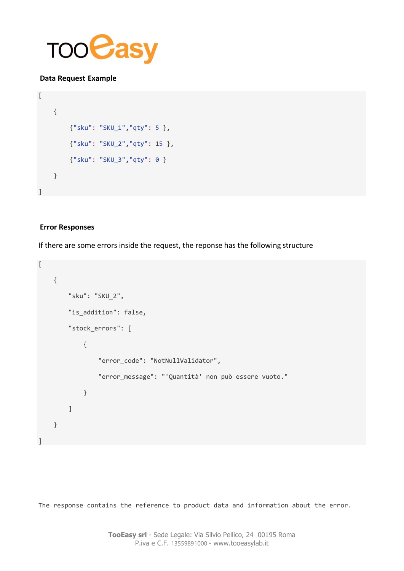

## **Data Request Example**

```
\lbrack {
        {"sku": "SKU_1","qty": 5 },
         {"sku": "SKU_2","qty": 15 },
         {"sku": "SKU_3","qty": 0 }
     }
]
```
## **Error Responses**

If there are some errors inside the request, the reponse has the following structure

```
\overline{a} {
         "sku": "SKU_2",
         "is_addition": false,
         "stock_errors": [
\{ "error_code": "NotNullValidator",
                  "error_message": "'Quantità' non può essere vuoto."
             }
         ]
     }
]
```
The response contains the reference to product data and information about the error.